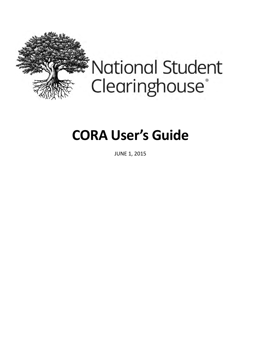

**National Student** Clearinghouse®

# **CORA User's Guide**

JUNE 1, 2015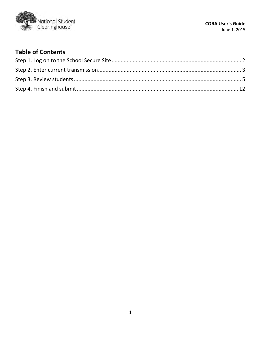

#### **Table of Contents**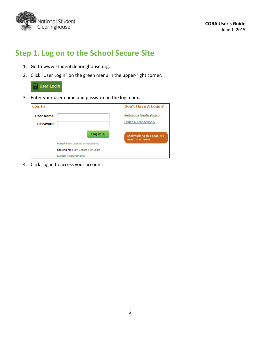

## <span id="page-2-0"></span>**Step 1. Log on to the School Secure Site**

- 1. Go to [www.studentclearinghouse.org.](www.studentclearinghouse.org)
- 2. Click "User Login" on the green menu in the upper-right corner.



3. Enter your user name and password in the login box.

| Log In            |                                   | <b>Don't Have A Login?</b>                        |
|-------------------|-----------------------------------|---------------------------------------------------|
| <b>User Name:</b> |                                   | Perform a Verification >                          |
| Password:         |                                   | Order a Transcript >                              |
|                   | Log in $\geq$                     | Bookmarking this page will<br>result in an error. |
|                   | Forgot your User ID or Password?  |                                                   |
|                   | Looking for FTP? Secure FTP Login |                                                   |
|                   | <b>System Requirements</b>        |                                                   |

4. Click Log in to access your account.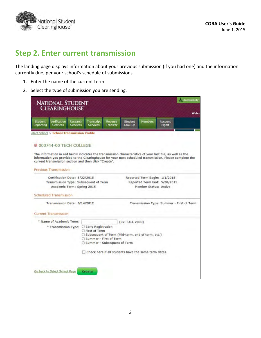

### <span id="page-3-0"></span>**Step 2. Enter current transmission**

The landing page displays information about your previous submission (if you had one) and the information currently due, per your school's schedule of submissions.

- 1. Enter the name of the current term
- 2. Select the type of submission you are sending.

|                             | <b>NATIONAL STUDENT</b><br><b>CLEARINGHOUSE</b>                                                                                                                                                                                                                       |                             |                                                                                                             |                            |                    |                                                                                        |                        | <b>Accessibility</b>                                                                                    |
|-----------------------------|-----------------------------------------------------------------------------------------------------------------------------------------------------------------------------------------------------------------------------------------------------------------------|-----------------------------|-------------------------------------------------------------------------------------------------------------|----------------------------|--------------------|----------------------------------------------------------------------------------------|------------------------|---------------------------------------------------------------------------------------------------------|
| <b>Student</b><br>Reporting | Verification<br><b>Services</b>                                                                                                                                                                                                                                       | Research<br><b>Services</b> | Transcript<br><b>Services</b>                                                                               | Reverse<br><b>Transfer</b> | Student<br>Look-Up | <b>Members</b>                                                                         | <b>Account</b><br>Mamt | Welco                                                                                                   |
|                             | elect School > School Transmission Profile<br>■ 000744-00 TECH COLLEGE<br>The information in red below indicates the transmission characteristics of your last file, as well as the<br>current transmission section and then click "Create".<br>Previous Transmission |                             |                                                                                                             |                            |                    |                                                                                        |                        | information you provided to the Clearinghouse for your next scheduled transmission. Please complete the |
|                             | Certification Date: 5/22/2015<br>Transmission Type: Subsequent of Term<br>Academic Term: Spring 2015<br>Scheduled Transmission                                                                                                                                        |                             |                                                                                                             |                            |                    | Reported Term Begin: 1/1/2015<br>Reported Term End: 5/20/2015<br>Member Status: Active |                        |                                                                                                         |
|                             | Transmission Date: 6/14/2012                                                                                                                                                                                                                                          |                             |                                                                                                             |                            |                    |                                                                                        |                        | Transmission Type: Summer - First of Term                                                               |
|                             | Current Transmission<br>* Name of Academic Term:<br>* Transmission Type:                                                                                                                                                                                              |                             | Early Registration<br>First of Term                                                                         |                            | (Ex: FALL 2000)    |                                                                                        |                        |                                                                                                         |
|                             |                                                                                                                                                                                                                                                                       |                             | ○ Subsequent of Term (Mid-term, end of term, etc.)<br>Summer - First of Term<br>Summer - Subsequent of Term |                            |                    | Check here if all students have the same term dates.                                   |                        |                                                                                                         |
|                             | Go back to Select School Page                                                                                                                                                                                                                                         |                             | <b>Create</b>                                                                                               |                            |                    |                                                                                        |                        |                                                                                                         |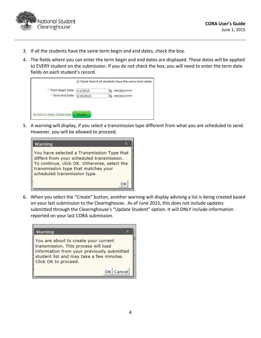

- 3. If all the students have the same term begin and end dates, check the box.
- 4. The fields where you can enter the term begin and end dates are displayed. These dates will be applied to EVERY student on the submission. If you do not check the box, you will need to enter the term date fields on each student's record.



5. A warning will display, if you select a transmission type different from what you are scheduled to send. However, you will be allowed to proceed.

| Warning                                                                                                                                                                                                        |
|----------------------------------------------------------------------------------------------------------------------------------------------------------------------------------------------------------------|
| You have selected a Transmission Type that<br>differs from your scheduled transmission.<br>To continue, click OK. Otherwise, select the<br>transmission type that matches your<br>scheduled transmission type. |
|                                                                                                                                                                                                                |

6. When you select the "Create" button, another warning will display advising a list is being created based on your last submission to the Clearinghouse. As of June 2015, this does not include updates submitted through the Clearinghouse's "Update Student" option. It will ONLY include information reported on your last CORA submission.

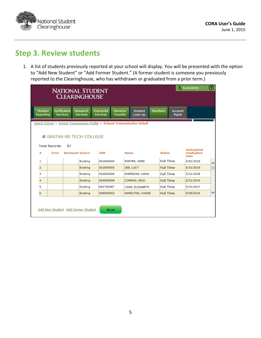

## <span id="page-5-0"></span>**Step 3. Review students**

1. A list of students previously reported at your school will display. You will be presented with the option to "Add New Student" or "Add Former Student." (A former student is someone you previously reported to the Clearinghouse, who has withdrawn or graduated from a prior term.)

|                             |                                                                          |                        | <b>NATIONAL STUDENT</b><br><b>CLEARINGHOUSE'</b> |                                                                           |                           |                |                  |                               | <b>Accessibility</b>                                   | ඹ |  |  |  |  |
|-----------------------------|--------------------------------------------------------------------------|------------------------|--------------------------------------------------|---------------------------------------------------------------------------|---------------------------|----------------|------------------|-------------------------------|--------------------------------------------------------|---|--|--|--|--|
| <b>Student</b><br>Reporting | <b>Services</b>                                                          | Verification           | Research<br><b>Services</b>                      | <b>Transcript</b><br><b>Reverse</b><br><b>Services</b><br><b>Transfer</b> | <b>Student</b><br>Look-Up | <b>Members</b> |                  | <b>Account</b><br><b>Mgmt</b> |                                                        |   |  |  |  |  |
|                             | Select School > School Transmission Profile > School Transmission Detail |                        |                                                  |                                                                           |                           |                |                  |                               |                                                        |   |  |  |  |  |
|                             |                                                                          |                        | ■ 000744-00 TECH COLLEGE                         |                                                                           |                           |                |                  |                               |                                                        |   |  |  |  |  |
|                             | <b>Total Records:</b>                                                    | 87                     |                                                  |                                                                           |                           |                |                  |                               |                                                        |   |  |  |  |  |
| #                           | Error                                                                    | <b>Reviewed Source</b> |                                                  | <b>SSN</b>                                                                | <b>Name</b>               |                | <b>Status</b>    |                               | <b>Anticipated</b><br><b>Graduation</b><br><b>Date</b> |   |  |  |  |  |
| 1                           |                                                                          |                        | Existing                                         | 001840000                                                                 | PORTER, AMEE              |                | <b>Full Time</b> |                               | 5/20/2018                                              | ∧ |  |  |  |  |
| $\overline{2}$              |                                                                          |                        | Existing                                         | 001800005                                                                 | LEE, LUCY                 |                | <b>Full Time</b> |                               | 5/31/2015                                              |   |  |  |  |  |
| 3                           |                                                                          |                        | Existing                                         | 003820000                                                                 | SHERIDAN, CAROL           |                | <b>Full Time</b> |                               | 5/31/2018                                              |   |  |  |  |  |
| 4                           |                                                                          |                        | Existing                                         | 004006909                                                                 | CONRAD, NICK              |                | <b>Full Time</b> |                               | 5/31/2019                                              |   |  |  |  |  |
| 5                           |                                                                          |                        | Existing                                         | 000700087                                                                 | CARE, ELISABETH           |                | <b>Full Time</b> |                               | 5/31/2017                                              |   |  |  |  |  |
| 6                           |                                                                          |                        | Existing                                         | 006005002                                                                 | HAMILTON, CHASE           |                | <b>Full Time</b> |                               | 9/30/2019                                              | v |  |  |  |  |
|                             |                                                                          |                        | Add New Student Add Former Student               | <b>Next</b>                                                               |                           |                |                  |                               |                                                        |   |  |  |  |  |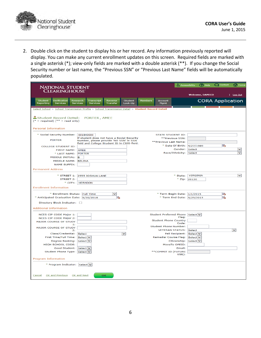

2. Double click on the student to display his or her record. Any information previously reported will display. You can make any current enrollment updates on this screen. Required fields are marked with a single asterisk (\*); view-only fields are marked with a double asterisk (\*\*). If you change the Social Security number or last name, the "Previous SSN" or "Previous Last Name" fields will be automatically populated.

| <b>NATIONAL STUDENT</b>                                                                          |                                                                                      |                            |                           |                |                                  |                                                  | Accessibility           | <b>?</b> Help          | C Contact               | <b>THOME</b>             |
|--------------------------------------------------------------------------------------------------|--------------------------------------------------------------------------------------|----------------------------|---------------------------|----------------|----------------------------------|--------------------------------------------------|-------------------------|------------------------|-------------------------|--------------------------|
| Clearinghouse                                                                                    |                                                                                      |                            |                           |                |                                  |                                                  |                         |                        |                         |                          |
|                                                                                                  |                                                                                      |                            |                           |                |                                  |                                                  |                         | <b>Welcome, DAMICO</b> |                         | Log Out                  |
| <b>Student</b><br>Verification<br><b>Reporting</b><br><b>Services</b>                            | Research<br>Transcript<br><b>Services</b><br><b>Services</b>                         | Reverse<br><b>Transfer</b> | <b>Student</b><br>Look-Up | <b>Members</b> | <b>Account</b><br>Mamt           |                                                  |                         |                        | <b>CORA Application</b> |                          |
| Select School > School Transmission Profile > School Transmission Detail > Student Record Detail |                                                                                      |                            |                           |                |                                  |                                                  |                         |                        |                         |                          |
|                                                                                                  |                                                                                      |                            |                           |                |                                  |                                                  |                         |                        |                         |                          |
| Student Record Detail:                                                                           | PORTER, AMEE                                                                         |                            |                           |                |                                  |                                                  |                         |                        |                         |                          |
| $(* = required) (* * = read only)$                                                               |                                                                                      |                            |                           |                |                                  |                                                  |                         |                        |                         |                          |
| <b>Personal Information</b>                                                                      |                                                                                      |                            |                           |                |                                  |                                                  |                         |                        |                         |                          |
| * Social Security Number: 001840000                                                              |                                                                                      |                            |                           |                | STATE STUDENT ID:                |                                                  |                         |                        |                         |                          |
| <b>PORTER</b>                                                                                    | If student does not have a Social Security<br>Number, please provide 'NO SSN' in SSN |                            |                           |                | **Previous Last Name:            | **Previous SSN:                                  |                         |                        |                         |                          |
| <b>COLLEGE STUDENT ID:</b>                                                                       | field and College Student ID in CSID field.                                          |                            |                           |                |                                  | * Date Of Birth: 4/27/1989                       |                         |                        | l.                      |                          |
| <b>FIRST NAME:</b>                                                                               | AMEE                                                                                 |                            |                           |                |                                  | Gender:                                          | <b>Select</b>           |                        |                         | $\checkmark$             |
| * LAST NAME: PORTER                                                                              |                                                                                      |                            |                           |                |                                  | Race/Ethnicity: Select                           |                         |                        |                         | $\overline{\phantom{0}}$ |
| MIDDLE INITIAL: B                                                                                |                                                                                      |                            |                           |                |                                  |                                                  |                         |                        |                         |                          |
| MIDDLE NAME: BELINA                                                                              |                                                                                      |                            |                           |                |                                  |                                                  |                         |                        |                         |                          |
| <b>NAME SUFFIX:</b>                                                                              |                                                                                      |                            |                           |                |                                  |                                                  |                         |                        |                         |                          |
| <b>Permanent Address</b>                                                                         |                                                                                      |                            |                           |                |                                  |                                                  |                         |                        |                         |                          |
|                                                                                                  | * STREET 1: 2555 JOSHUA LANE                                                         |                            |                           |                |                                  | * State: VIRGINIA                                |                         |                        |                         | $\checkmark$             |
| <b>STREET 2:</b>                                                                                 |                                                                                      |                            |                           |                |                                  |                                                  | * Zip: 20120            |                        |                         |                          |
|                                                                                                  | * CITY: HERNDON                                                                      |                            |                           |                |                                  |                                                  |                         |                        |                         |                          |
| <b>Enrollment Information</b>                                                                    |                                                                                      |                            |                           |                |                                  |                                                  |                         |                        |                         |                          |
| * Enrollment Status: Full Time                                                                   |                                                                                      | $\checkmark$               |                           |                | * Term Begin Date: 1/1/2015      |                                                  |                         |                        | l.                      |                          |
| * Anticipated Graduation Date: 5/20/2018                                                         |                                                                                      | ls.                        |                           |                |                                  | * Term End Date: 5/29/2015                       |                         |                        | ls.                     |                          |
| Directory Block Indicator: 0                                                                     |                                                                                      |                            |                           |                |                                  |                                                  |                         |                        |                         |                          |
| <b>Additional Information</b>                                                                    |                                                                                      |                            |                           |                |                                  |                                                  |                         |                        |                         |                          |
| NCES CIP CODE Major 1:                                                                           |                                                                                      |                            |                           |                | Student Preferred Phone Select v |                                                  |                         |                        |                         |                          |
| NCES CIP CODE Major 2:                                                                           |                                                                                      |                            |                           |                | <b>Student Phone Country</b>     | Flag:                                            |                         |                        |                         |                          |
| <b>MAJOR COURSE OF STUDY</b><br>1:                                                               |                                                                                      |                            |                           |                |                                  | Code:                                            |                         |                        |                         |                          |
| <b>MAJOR COURSE OF STUDY</b>                                                                     |                                                                                      |                            |                           |                | <b>Student Phone Number:</b>     |                                                  |                         |                        |                         |                          |
| 2:<br>Class/Credential: Select                                                                   |                                                                                      |                            | $\checkmark$              |                |                                  | <b>VETERAN STATUS: Select</b><br>Pell Recipient: | $Select$ $\vee$         |                        |                         | $\checkmark$             |
| <b>First Time/Full Time:</b>                                                                     | Select $\triangleright$                                                              |                            |                           |                | <b>Remedial Course Flag:</b>     |                                                  | Select $\triangleright$ |                        |                         |                          |
| Degree Seeking:                                                                                  | $ Select \n+$                                                                        |                            |                           |                |                                  | Citizenship:                                     | Select $\vee$           |                        |                         |                          |
| <b>HIGH SCHOOL CODE:</b>                                                                         |                                                                                      |                            |                           |                |                                  | MoveTo OPEID:                                    |                         |                        |                         |                          |
| Good Student: Select v                                                                           |                                                                                      |                            |                           |                |                                  | Email:                                           |                         |                        |                         |                          |
| Student Phone Type: Select v                                                                     |                                                                                      |                            |                           |                | ** COMMIT ID (FUTURE             | USE):                                            |                         |                        |                         |                          |
| Program Information                                                                              |                                                                                      |                            |                           |                |                                  |                                                  |                         |                        |                         |                          |
| * Program Indicator: Select v                                                                    |                                                                                      |                            |                           |                |                                  |                                                  |                         |                        |                         |                          |
|                                                                                                  |                                                                                      |                            |                           |                |                                  |                                                  |                         |                        |                         |                          |
| <b>OK and Previous</b><br>Cancel                                                                 | OK and Next                                                                          | OK                         |                           |                |                                  |                                                  |                         |                        |                         |                          |
|                                                                                                  |                                                                                      |                            |                           |                |                                  |                                                  |                         |                        |                         |                          |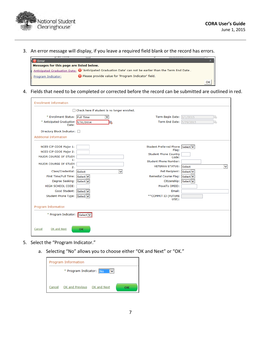

3. An error message will display, if you leave a required field blank or the record has errors.



4. Fields that need to be completed or corrected before the record can be submitted are outlined in red.

| <b>Enrollment Information</b>                                                                                                                                                                            |                                              |                                                                                                                                                                                                                        |                                                  |
|----------------------------------------------------------------------------------------------------------------------------------------------------------------------------------------------------------|----------------------------------------------|------------------------------------------------------------------------------------------------------------------------------------------------------------------------------------------------------------------------|--------------------------------------------------|
|                                                                                                                                                                                                          | Check here if student is no longer enrolled. |                                                                                                                                                                                                                        |                                                  |
| * Enrollment Status: Full Time                                                                                                                                                                           | ▽                                            | Term Begin Date: $1/1/2015$                                                                                                                                                                                            | 2b                                               |
| * Anticipated Graduation 5/31/2014<br>Date:                                                                                                                                                              | Ъ                                            | Term End Date: 5/29/2015                                                                                                                                                                                               |                                                  |
| Directory Block Indicator: 0                                                                                                                                                                             |                                              |                                                                                                                                                                                                                        |                                                  |
| <b>Additional Information</b>                                                                                                                                                                            |                                              |                                                                                                                                                                                                                        |                                                  |
| NCES CIP CODE Major 1:<br>NCES CIP CODE Major 2:<br>MAJOR COURSE OF STUDY<br>15<br><b>MAJOR COURSE OF STUDY</b><br>2:<br>Class/Credential:<br>First Time/Full Time: Select v<br>Degree Seeking: Select v | Select<br>$\checkmark$                       | Student Preferred Phone Select V<br>Flag:<br><b>Student Phone Country</b><br>Code:<br><b>Student Phone Number:</b><br><b>VETERAN STATUS: Select</b><br>Pell Recipient:<br><b>Remedial Course Flag:</b><br>Citizenship: | $\checkmark$<br>Select v<br>Select V<br>Select v |
| <b>HIGH SCHOOL CODE:</b>                                                                                                                                                                                 |                                              | MoveTo OPEID:                                                                                                                                                                                                          |                                                  |
| Good Student: Select v<br>Student Phone Type: Select V                                                                                                                                                   |                                              | Email:<br>**COMMIT ID (FUTURE<br>USE):                                                                                                                                                                                 |                                                  |
| Program Information                                                                                                                                                                                      |                                              |                                                                                                                                                                                                                        |                                                  |
| * Program Indicator:                                                                                                                                                                                     | Select                                       |                                                                                                                                                                                                                        |                                                  |
| OK and Next<br>Cancel                                                                                                                                                                                    | OK                                           |                                                                                                                                                                                                                        |                                                  |

- 5. Select the "Program Indicator."
	- a. Selecting "No" allows you to choose either "OK and Next" or "OK."

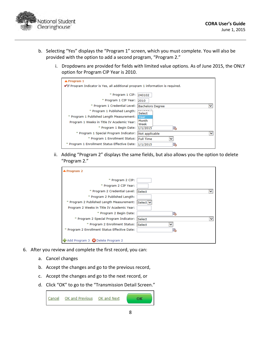

- b. Selecting "Yes" displays the "Program 1" screen, which you must complete. You will also be provided with the option to add a second program, "Program 2."
	- i. Dropdowns are provided for fields with limited value options. As of June 2015, the ONLY option for Program CIP Year is 2010.

| $\triangle$ Program 1<br>■If Program Indicator is Yes, all additional program 1 information is required. |                               |
|----------------------------------------------------------------------------------------------------------|-------------------------------|
| * Program 1 CIP:                                                                                         | 240102                        |
| * Program 1 CIP Year:                                                                                    | 2010                          |
| * Program 1 Credential Level:                                                                            | <b>Bachelors Degree</b>       |
| * Program 1 Published Length:                                                                            | Select                        |
| * Program 1 Published Length Measurement:                                                                | Year                          |
| Program 1 Weeks in Title IV Academic Year:                                                               | Month<br>Week                 |
| * Program 1 Begin Date:                                                                                  | l.<br>1/1/2015                |
| * Program 1 Special Program Indicator:                                                                   | Not applicable<br>$\check{ }$ |
| * Program 1 Enrollment Status:                                                                           | <b>Full Time</b>              |
| * Program 1 Enrollment Status Effective Date:                                                            | 1/1/2015                      |

ii. Adding "Program 2" displays the same fields, but also allows you the option to delete "Program 2."

| * Program 2 CIP:                              |                       |
|-----------------------------------------------|-----------------------|
| * Program 2 CIP Year:                         |                       |
| * Program 2 Credential Level:                 | Select<br>$\check{ }$ |
| * Program 2 Published Length:                 |                       |
| * Program 2 Published Length Measurement:     | Select V              |
| Program 2 Weeks in Title IV Academic Year:    |                       |
| * Program 2 Begin Date:                       | ľ.                    |
| * Program 2 Special Program Indicator:        | Select                |
| * Program 2 Enrollment Status:                | Select                |
| * Program 2 Enrollment Status Effective Date: | la.                   |

- 6. After you review and complete the first record, you can:
	- a. Cancel changes
	- b. Accept the changes and go to the previous record,
	- c. Accept the changes and go to the next record, or
	- d. Click "OK" to go to the "Transmission Detail Screen."

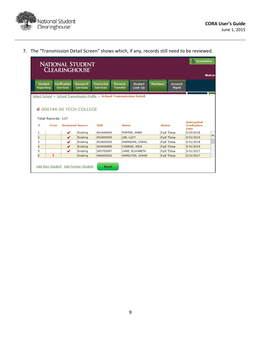

|                                    |                                    |                                        |                             |                                                                          |                                   |                           |                |                               | Welcon                                                 |
|------------------------------------|------------------------------------|----------------------------------------|-----------------------------|--------------------------------------------------------------------------|-----------------------------------|---------------------------|----------------|-------------------------------|--------------------------------------------------------|
| <b>Student</b><br><b>Reporting</b> |                                    | <b>Verification</b><br><b>Services</b> | Research<br><b>Services</b> | <b>Transcript</b><br><b>Services</b>                                     | <b>Reverse</b><br><b>Transfer</b> | <b>Student</b><br>Look-Up | <b>Members</b> | <b>Account</b><br><b>Mgmt</b> |                                                        |
|                                    |                                    |                                        |                             | Select School > School Transmission Profile > School Transmission Detail |                                   |                           |                |                               |                                                        |
|                                    |                                    |                                        | ■ 000744-00 TFCH COLLEGE    |                                                                          |                                   |                           |                |                               |                                                        |
| #                                  | <b>Total Records: 137</b><br>Error |                                        | <b>Reviewed Source</b>      | <b>SSN</b>                                                               | <b>Name</b>                       |                           | <b>Status</b>  |                               | <b>Anticipated</b><br><b>Graduation</b><br><b>Date</b> |
| 1                                  |                                    | v                                      | Existing                    | 001840000                                                                |                                   | PORTER, AMEE              |                | <b>Full Time</b>              | 5/20/2018                                              |
| $\overline{\mathbf{c}}$            |                                    | ✓                                      | Existing                    | 001800005                                                                | LEE, LUCY                         |                           |                | <b>Full Time</b>              | 5/31/2015                                              |
| 3                                  |                                    | v                                      | Existing                    | 003820000                                                                |                                   | SHERIDAN, CAROL           |                | <b>Full Time</b>              | 5/31/2018                                              |
| $\overline{4}$                     |                                    | ✓                                      | Existing                    | 004006909                                                                |                                   | CONRAD, NICK              |                | <b>Full Time</b>              | 5/31/2019                                              |
| 5                                  |                                    | v                                      | Existing                    | 000700087                                                                |                                   | CARE, ELIXABETH           |                | <b>Full Time</b>              | 5/31/2017                                              |

7. The "Transmission Detail Screen" shows which, if any, records still need to be reviewed.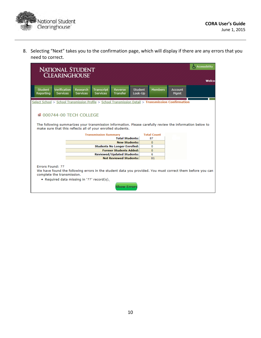

8. Selecting "Next" takes you to the confirmation page, which will display if there are any errors that you need to correct.

|                                                                                                      | <b>NATIONAL STUDENT</b><br><b>CLEARINGHOUSE'</b> |                                                                                         |                                      |                                                |                           |                                                                                                          |                               |                                                                                                           |  |  |  |  |
|------------------------------------------------------------------------------------------------------|--------------------------------------------------|-----------------------------------------------------------------------------------------|--------------------------------------|------------------------------------------------|---------------------------|----------------------------------------------------------------------------------------------------------|-------------------------------|-----------------------------------------------------------------------------------------------------------|--|--|--|--|
| <b>Student</b><br>Reporting                                                                          | Verification<br><b>Services</b>                  | Research<br><b>Services</b>                                                             | <b>Transcript</b><br><b>Services</b> | <b>Reverse</b><br><b>Transfer</b>              | <b>Student</b><br>Look-Up | <b>Members</b>                                                                                           | <b>Account</b><br><b>Mgmt</b> |                                                                                                           |  |  |  |  |
| Select School > School Transmission Profile > School Transmission Detail > Transmission Confirmation |                                                  |                                                                                         |                                      |                                                |                           |                                                                                                          |                               |                                                                                                           |  |  |  |  |
|                                                                                                      |                                                  | ■ 000744-00 TFCH COLLEGE<br>make sure that this reflects all of your enrolled students. |                                      |                                                |                           | The following summarizes your transmission information. Please carefully review the information below to |                               |                                                                                                           |  |  |  |  |
|                                                                                                      |                                                  |                                                                                         | <b>Transmission Summary</b>          |                                                |                           | <b>Total Count</b>                                                                                       |                               |                                                                                                           |  |  |  |  |
|                                                                                                      |                                                  |                                                                                         |                                      | <b>Total Students:</b><br><b>New Students:</b> |                           | 87<br>$\mathbf{0}$                                                                                       |                               |                                                                                                           |  |  |  |  |
|                                                                                                      |                                                  |                                                                                         |                                      | <b>Students No Longer Enrolled:</b>            |                           | $\Omega$                                                                                                 |                               |                                                                                                           |  |  |  |  |
|                                                                                                      |                                                  |                                                                                         |                                      | <b>Former Students Added:</b>                  |                           | $\mathbf{0}$                                                                                             |                               |                                                                                                           |  |  |  |  |
|                                                                                                      |                                                  |                                                                                         |                                      | <b>Reviewed/Updated Students:</b>              |                           | 6                                                                                                        |                               |                                                                                                           |  |  |  |  |
|                                                                                                      |                                                  |                                                                                         |                                      | <b>Not Reviewed Students:</b>                  |                           | 81                                                                                                       |                               |                                                                                                           |  |  |  |  |
| <b>Errors Found: 77</b><br>complete the transmission.                                                |                                                  | • Required data missing in '77' record(s).                                              |                                      | <b>Show Errors</b>                             |                           |                                                                                                          |                               | We have found the following errors in the student data you provided. You must correct them before you can |  |  |  |  |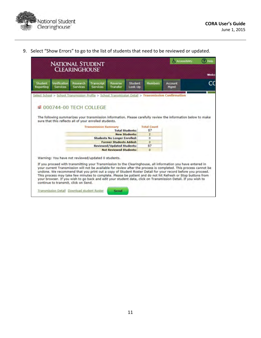

9. Select "Show Errors" to go to the list of students that need to be reviewed or updated.

|                      | <b>NATIONAL STUDENT</b>                                                          |                             |                               |                                     |                           |                    | Accessibility                                                                                                                                                                                                                                                                                                                                                                                                                                                                                                                                                                     | <b>Ca</b> Help |
|----------------------|----------------------------------------------------------------------------------|-----------------------------|-------------------------------|-------------------------------------|---------------------------|--------------------|-----------------------------------------------------------------------------------------------------------------------------------------------------------------------------------------------------------------------------------------------------------------------------------------------------------------------------------------------------------------------------------------------------------------------------------------------------------------------------------------------------------------------------------------------------------------------------------|----------------|
|                      |                                                                                  | <b>CLEARINGHOUSE</b>        |                               |                                     |                           |                    |                                                                                                                                                                                                                                                                                                                                                                                                                                                                                                                                                                                   | Welco          |
| Student<br>Reporting | Verification<br><b>Services</b>                                                  | Research<br><b>Services</b> | Transcript<br><b>Services</b> | Reverse<br><b>Transfer</b>          | <b>Student</b><br>Look-Up | Members            | Account<br>Mamt                                                                                                                                                                                                                                                                                                                                                                                                                                                                                                                                                                   | CΟ             |
|                      |                                                                                  |                             |                               |                                     |                           |                    | Select School > School Transmission Profile > School Transmission Detail > Transmission Confirmation                                                                                                                                                                                                                                                                                                                                                                                                                                                                              |                |
|                      | 000744-00 TECH COLLEGE<br>sure that this reflects all of your enrolled students. |                             |                               |                                     |                           |                    | The following summarizes your transmission information. Please carefully review the information below to make                                                                                                                                                                                                                                                                                                                                                                                                                                                                     |                |
|                      |                                                                                  |                             | <b>Transmission Summary</b>   |                                     |                           | <b>Total Count</b> |                                                                                                                                                                                                                                                                                                                                                                                                                                                                                                                                                                                   |                |
|                      |                                                                                  |                             |                               |                                     | <b>Total Students:</b>    | 87                 |                                                                                                                                                                                                                                                                                                                                                                                                                                                                                                                                                                                   |                |
|                      |                                                                                  |                             |                               |                                     | <b>New Students:</b>      | 2                  |                                                                                                                                                                                                                                                                                                                                                                                                                                                                                                                                                                                   |                |
|                      |                                                                                  |                             |                               | <b>Students No Longer Enrolled:</b> |                           | o                  |                                                                                                                                                                                                                                                                                                                                                                                                                                                                                                                                                                                   |                |
|                      |                                                                                  |                             |                               | <b>Former Students Added:</b>       |                           | ō                  |                                                                                                                                                                                                                                                                                                                                                                                                                                                                                                                                                                                   |                |
|                      |                                                                                  |                             |                               | <b>Reviewed/Updated Students:</b>   |                           | 87                 |                                                                                                                                                                                                                                                                                                                                                                                                                                                                                                                                                                                   |                |
|                      |                                                                                  |                             |                               | <b>Not Reviewed Students:</b>       |                           | $\circ$            |                                                                                                                                                                                                                                                                                                                                                                                                                                                                                                                                                                                   |                |
|                      | Warning: You have not reviewed/updated 0 students.                               |                             |                               |                                     |                           |                    |                                                                                                                                                                                                                                                                                                                                                                                                                                                                                                                                                                                   |                |
|                      | continue to transmit, click on Send.                                             |                             |                               |                                     |                           |                    | If you proceed with transmitting your Transmission to the Clearinghouse, all information you have entered in<br>your current Transmission will not be available for review after the process is completed. This process cannot be<br>undone. We recommend that you print out a copy of Student Roster Detail for your record before you proceed.<br>This process may take few minutes to complete. Please be patient and do not hit Refresh or Stop buttons from<br>your browser. If you wish to go back and edit your student data, click on Transmission Detail. If you wish to |                |
|                      | Transmission Detail Download student Roster                                      |                             |                               | Send                                |                           |                    |                                                                                                                                                                                                                                                                                                                                                                                                                                                                                                                                                                                   |                |